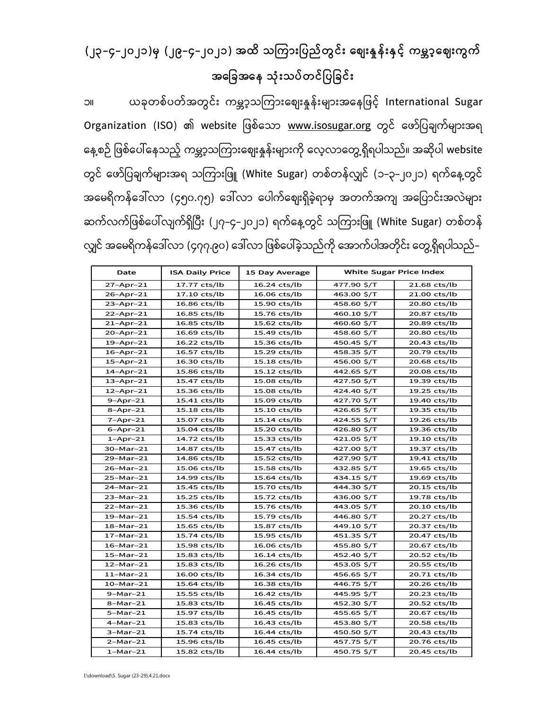## (၂၃-၄-၂၀၂၁)မှ (၂၉-၄-၂၀၂၁) အထိ သကားြပည်တွင်း ေစျးန်းှင့် ကမာ့ေဈးကွက် အေြခအေန သုံးသပ်တင်ြပြခင်း

၁။ ယခုတစ်ပတ်အတွင်း ကမ္ဘာ့သကြားဈေးနှုန်းများအနေဖြင့် International Sugar Organization (ISO) ၏ website ဖြစ်သော <u>www.isosugar.org</u> တွင် ဖော်ပြချက်များအရ နေ့စဉ် ဖြစ်ပေါ်နေသည့် ကမ္ဘာ့သကြားဈေးနှုန်းများကို လေ့လာတွေ့ရှိရပါသည်။ အဆိုပါ website တွင် ဖော်ပြချက်များအရ သကြားဖြူ (White Sugar) တစ်တန်လျှင် (၁–၃–၂၀၂၁) ရက်နေ့တွင် အမေရိကန်ဒေါ်လာ (၄၅၀.၇၅) ဒေါ်လာ ပေါက်ဈေးရှိခဲ့ရာမှ အတက်အကျ အပြောင်းအလဲများ ဆက်လက်ဖြစ်ပေါ်လျက်ရှိပြီး (၂၇–၄–၂၀၂၁) ရက်နေ့တွင် သကြားဖြူ (White Sugar) တစ်တန် လျှင် အမေရိကန်ဒေါ်လာ (၄၇၇.၉၀) ဒေါ်လာ ဖြစ်ပေါ်ခဲ့သည်ကို အောက်ပါအတိုင်း တွေ့ရှိရပါသည်– ယခုတစ်ပတ်အတွင်း ကမ္ဘာ့သကြားစျေးနှုန်းများအနေဖြင့် International Su<br>
2ation (ISO) ၏ website ဖြစ်သော <u>www.isosugar.org</u> တွင် ဖော်ပြချက်များ<br>
2ation (ISO) ၏ website ဖြစ်သော <u>www.isosugar.org</u> တွင် ဖော်ပြချက်များ<br>
မြစ်ပေါ်နေ

| Date            | <b>ISA Daily Price</b> | 15 Day Average | <b>White Sugar Price Index</b> |              |
|-----------------|------------------------|----------------|--------------------------------|--------------|
| $27 - Apr - 21$ | 17.77 cts/lb           | 16.24 cts/lb   | 477.90 \$/T                    | 21.68 cts/lb |
| $26 - Apr - 21$ | 17.10 cts/lb           | 16.06 cts/lb   | 463.00 \$/T                    | 21.00 cts/lb |
| 23-Apr-21       | 16.86 cts/lb           | 15.90 cts/lb   | 458.60 \$/T                    | 20.80 cts/lb |
| $22$ -Apr-21    | 16.85 cts/lb           | 15.76 cts/lb   | 460.10 \$/T                    | 20.87 cts/lb |
| $21 - Apr - 21$ | 16.85 cts/lb           | 15.62 cts/lb   | 460.60 \$/T                    | 20.89 cts/lb |
| $20 - Apr - 21$ | 16.69 cts/lb           | 15.49 cts/lb   | 458.60 \$/T                    | 20.80 cts/lb |
| $19$ -Apr-21    | 16.22 cts/lb           | 15.36 cts/lb   | 450.45 \$/T                    | 20.43 cts/lb |
| $16 - Apr - 21$ | 16.57 cts/lb           | 15.29 cts/lb   | 458.35 \$/T                    | 20.79 cts/lb |
| 15-Apr-21       | 16.30 cts/lb           | 15.18 cts/lb   | 456.00 \$/T                    | 20.68 cts/lb |
| $14 - Apr - 21$ | 15.86 cts/lb           | 15.12 cts/lb   | 442.65 \$/T                    | 20.08 cts/lb |
| $13 - Apr - 21$ | 15.47 cts/lb           | 15.08 cts/lb   | 427.50 \$/T                    | 19.39 cts/lb |
| $12$ -Apr-21    | 15.36 cts/lb           | 15.08 cts/lb   | 424.40 \$/T                    | 19.25 cts/lb |
| $9 - Apr - 21$  | 15.41 cts/lb           | 15.09 cts/lb   | 427.70 \$/T                    | 19.40 cts/lb |
| $8 - Apr - 21$  | $15.18$ cts/lb         | 15.10 cts/lb   | 426.65 \$/T                    | 19.35 cts/lb |
| $7 - Apr - 21$  | 15.07 cts/lb           | 15.14 cts/lb   | 424.55 \$/T                    | 19.26 cts/lb |
| $6 - Apr - 21$  | 15.04 cts/lb           | 15.20 cts/lb   | 426.80 \$/T                    | 19.36 cts/lb |
| $1 -$ Apr $-21$ | 14.72 cts/lb           | 15.33 cts/lb   | 421.05 \$/T                    | 19.10 cts/lb |
| 30-Mar-21       | 14.87 cts/lb           | 15.47 cts/lb   | 427.00 \$/T                    | 19.37 cts/lb |
| 29-Mar-21       | 14.86 cts/lb           | 15.52 cts/lb   | 427.90 \$/T                    | 19.41 cts/lb |
| 26-Mar-21       | 15.06 cts/lb           | 15.58 cts/lb   | 432.85 \$/T                    | 19.65 cts/lb |
| 25-Mar-21       | 14.99 cts/lb           | 15.64 cts/lb   | 434.15 \$/T                    | 19.69 cts/lb |
| 24-Mar-21       | 15.45 cts/lb           | 15.70 cts/lb   | 444.30 \$/T                    | 20.15 cts/lb |
| 23-Mar-21       | 15.25 cts/lb           | 15.72 cts/lb   | 436.00 \$/T                    | 19.78 cts/lb |
| 22-Mar-21       | 15.36 cts/lb           | 15.76 cts/lb   | 443.05 \$/T                    | 20.10 cts/lb |
| $19-Mar-21$     | 15.54 cts/lb           | 15.79 cts/lb   | 446.80 \$/T                    | 20.27 cts/lb |
| $18 - Mar - 21$ | 15.65 cts/lb           | 15.87 cts/lb   | 449.10 \$/T                    | 20.37 cts/lb |
| 17-Mar-21       | 15.74 cts/lb           | 15.95 cts/lb   | 451.35 \$/T                    | 20.47 cts/lb |
| $16-Mar-21$     | 15.98 cts/lb           | 16.06 cts/lb   | 455.80 \$/T                    | 20.67 cts/lb |
| $15-Mar-21$     | 15.83 cts/lb           | 16.14 cts/lb   | 452.40 \$/T                    | 20.52 cts/lb |
| $12-Mar-21$     | 15.83 cts/lb           | 16.26 cts/lb   | 453.05 \$/T                    | 20.55 cts/lb |
| $11-Mar-21$     | 16.00 cts/lb           | 16.34 cts/lb   | 456.65 \$/T                    | 20.71 cts/lb |
| $10-Mar-21$     | 15.64 cts/lb           | 16.38 cts/lb   | 446.75 \$/T                    | 20.26 cts/lb |
| $9-Mar-21$      | 15.55 cts/lb           | 16.42 cts/lb   | 445.95 \$/T                    | 20.23 cts/lb |
| $8 - Mar - 21$  | 15.83 cts/lb           | 16.45 cts/lb   | 452.30 \$/T                    | 20.52 cts/lb |
| $5-Mar-21$      | 15.97 cts/lb           | 16.45 cts/lb   | 455.65 \$/T                    | 20.67 cts/lb |
| $4-Mar-21$      | 15.83 cts/lb           | 16.43 cts/lb   | 453.80 \$/T                    | 20.58 cts/lb |
| $3-Mar-21$      | 15.74 cts/lb           | 16.44 cts/lb   | 450.50 \$/T                    | 20.43 cts/lb |
| $2-Mar-21$      | 15.96 cts/lb           | 16.45 cts/lb   | 457.75 \$/T                    | 20.76 cts/lb |
| $1-Mar-21$      | 15.82 cts/lb           | 16.44 cts/lb   | 450.75 \$/T                    | 20.45 cts/lb |